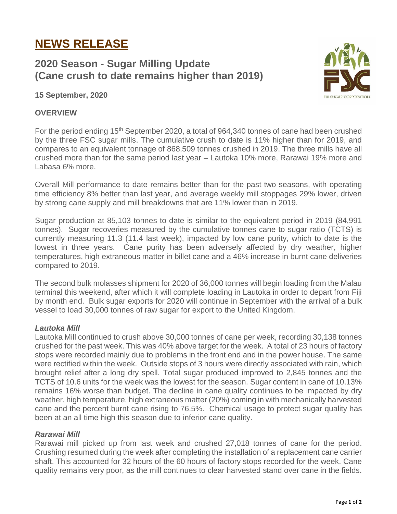# **NEWS RELEASE**

# **2020 Season - Sugar Milling Update (Cane crush to date remains higher than 2019)**



**15 September, 2020**

### **OVERVIEW**

For the period ending 15<sup>th</sup> September 2020, a total of 964,340 tonnes of cane had been crushed by the three FSC sugar mills. The cumulative crush to date is 11% higher than for 2019, and compares to an equivalent tonnage of 868,509 tonnes crushed in 2019. The three mills have all crushed more than for the same period last year – Lautoka 10% more, Rarawai 19% more and Labasa 6% more.

Overall Mill performance to date remains better than for the past two seasons, with operating time efficiency 8% better than last year, and average weekly mill stoppages 29% lower, driven by strong cane supply and mill breakdowns that are 11% lower than in 2019.

Sugar production at 85,103 tonnes to date is similar to the equivalent period in 2019 (84,991 tonnes). Sugar recoveries measured by the cumulative tonnes cane to sugar ratio (TCTS) is currently measuring 11.3 (11.4 last week), impacted by low cane purity, which to date is the lowest in three years. Cane purity has been adversely affected by dry weather, higher temperatures, high extraneous matter in billet cane and a 46% increase in burnt cane deliveries compared to 2019.

The second bulk molasses shipment for 2020 of 36,000 tonnes will begin loading from the Malau terminal this weekend, after which it will complete loading in Lautoka in order to depart from Fiji by month end. Bulk sugar exports for 2020 will continue in September with the arrival of a bulk vessel to load 30,000 tonnes of raw sugar for export to the United Kingdom.

## *Lautoka Mill*

Lautoka Mill continued to crush above 30,000 tonnes of cane per week, recording 30,138 tonnes crushed for the past week. This was 40% above target for the week. A total of 23 hours of factory stops were recorded mainly due to problems in the front end and in the power house. The same were rectified within the week. Outside stops of 3 hours were directly associated with rain, which brought relief after a long dry spell. Total sugar produced improved to 2,845 tonnes and the TCTS of 10.6 units for the week was the lowest for the season. Sugar content in cane of 10.13% remains 16% worse than budget. The decline in cane quality continues to be impacted by dry weather, high temperature, high extraneous matter (20%) coming in with mechanically harvested cane and the percent burnt cane rising to 76.5%. Chemical usage to protect sugar quality has been at an all time high this season due to inferior cane quality.

#### *Rarawai Mill*

Rarawai mill picked up from last week and crushed 27,018 tonnes of cane for the period. Crushing resumed during the week after completing the installation of a replacement cane carrier shaft. This accounted for 32 hours of the 60 hours of factory stops recorded for the week. Cane quality remains very poor, as the mill continues to clear harvested stand over cane in the fields.